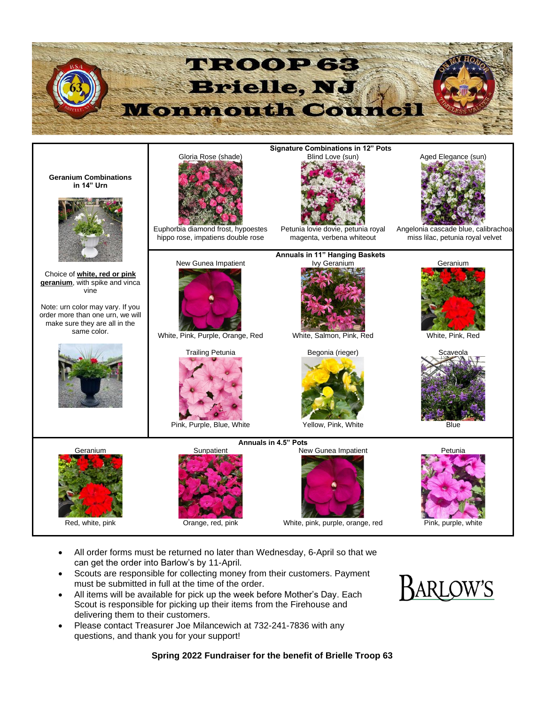

- All order forms must be returned no later than Wednesday, 6-April so that we can get the order into Barlow's by 11-April.
- Scouts are responsible for collecting money from their customers. Payment must be submitted in full at the time of the order.
- All items will be available for pick up the week before Mother's Day. Each Scout is responsible for picking up their items from the Firehouse and delivering them to their customers.
- Please contact Treasurer Joe Milancewich at 732-241-7836 with any questions, and thank you for your support!



**Spring 2022 Fundraiser for the benefit of Brielle Troop 63**